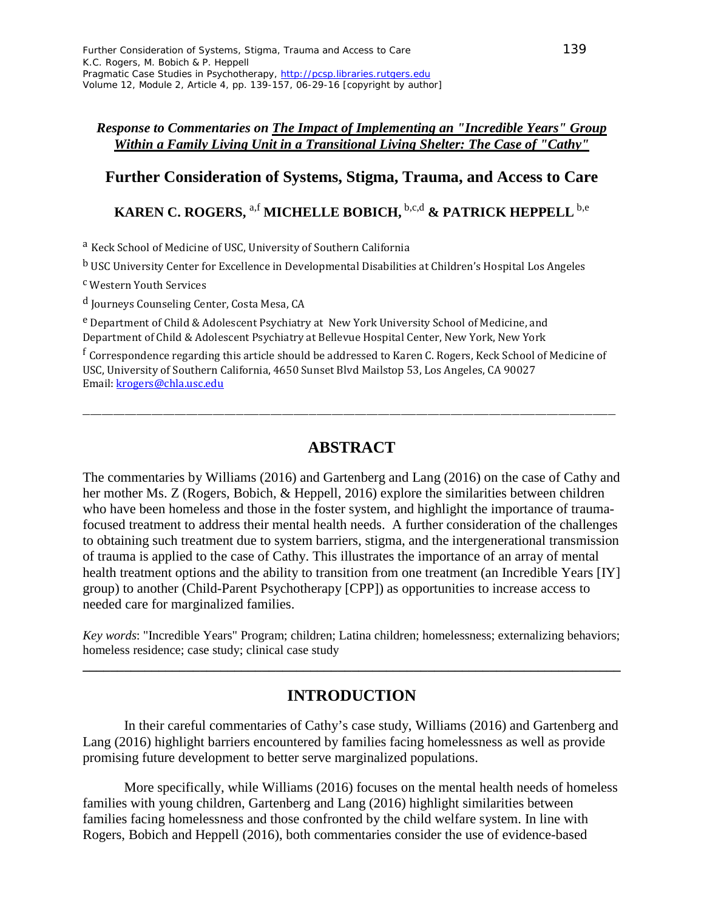### *Response to Commentaries on The Impact of Implementing an "Incredible Years" Group Within a Family Living Unit in a Transitional Living Shelter: The Case of "Cathy"*

# **Further Consideration of Systems, Stigma, Trauma, and Access to Care**

# **KAREN C. ROGERS,** a,f **MICHELLE BOBICH,** b,c,d **& PATRICK HEPPELL** b,e

<sup>a</sup> Keck School of Medicine of USC, University of Southern California

<sup>b</sup> USC University Center for Excellence in Developmental Disabilities at Children's Hospital Los Angeles

<sup>c</sup> Western Youth Services

<sup>d</sup> Journeys Counseling Center, Costa Mesa, CA

<sup>e</sup> Department of Child & Adolescent Psychiatry at New York University School of Medicine, and Department of Child & Adolescent Psychiatry at Bellevue Hospital Center, New York, New York

<sup>f</sup> Correspondence regarding this article should be addressed to Karen C. Rogers, Keck School of Medicine of USC, University of Southern California, 4650 Sunset Blvd Mailstop 53, Los Angeles, CA 90027 Email[: krogers@chla.usc.edu](mailto:krogers@chla.usc.edu)

# **ABSTRACT**

\_\_\_\_\_\_\_\_\_\_\_\_\_\_\_\_\_\_\_\_\_\_\_\_\_\_\_\_\_\_\_\_\_\_\_\_\_\_\_\_\_\_\_\_\_\_\_\_\_\_\_\_\_\_\_\_\_\_\_\_\_\_\_\_\_\_\_\_\_\_\_\_\_\_\_\_\_\_\_\_\_\_\_\_\_\_\_\_\_\_\_\_\_\_\_\_\_\_\_\_\_\_\_\_\_\_\_\_\_\_\_\_\_\_\_\_\_\_\_\_\_\_\_\_\_\_\_\_\_\_\_\_\_\_\_\_\_\_\_

The commentaries by Williams (2016) and Gartenberg and Lang (2016) on the case of Cathy and her mother Ms. Z (Rogers, Bobich, & Heppell, 2016) explore the similarities between children who have been homeless and those in the foster system, and highlight the importance of traumafocused treatment to address their mental health needs. A further consideration of the challenges to obtaining such treatment due to system barriers, stigma, and the intergenerational transmission of trauma is applied to the case of Cathy. This illustrates the importance of an array of mental health treatment options and the ability to transition from one treatment (an Incredible Years [IY] group) to another (Child-Parent Psychotherapy [CPP]) as opportunities to increase access to needed care for marginalized families.

*Key words*: "Incredible Years" Program; children; Latina children; homelessness; externalizing behaviors; homeless residence; case study; clinical case study

**\_\_\_\_\_\_\_\_\_\_\_\_\_\_\_\_\_\_\_\_\_\_\_\_\_\_\_\_\_\_\_\_\_\_\_\_\_\_\_\_\_\_\_\_\_\_\_\_\_\_\_\_\_\_\_\_\_\_\_\_\_\_\_\_\_\_\_\_\_\_\_\_\_\_\_\_\_\_**

# **INTRODUCTION**

In their careful commentaries of Cathy's case study, Williams (2016) and Gartenberg and Lang (2016) highlight barriers encountered by families facing homelessness as well as provide promising future development to better serve marginalized populations.

More specifically, while Williams (2016) focuses on the mental health needs of homeless families with young children, Gartenberg and Lang (2016) highlight similarities between families facing homelessness and those confronted by the child welfare system. In line with Rogers, Bobich and Heppell (2016), both commentaries consider the use of evidence-based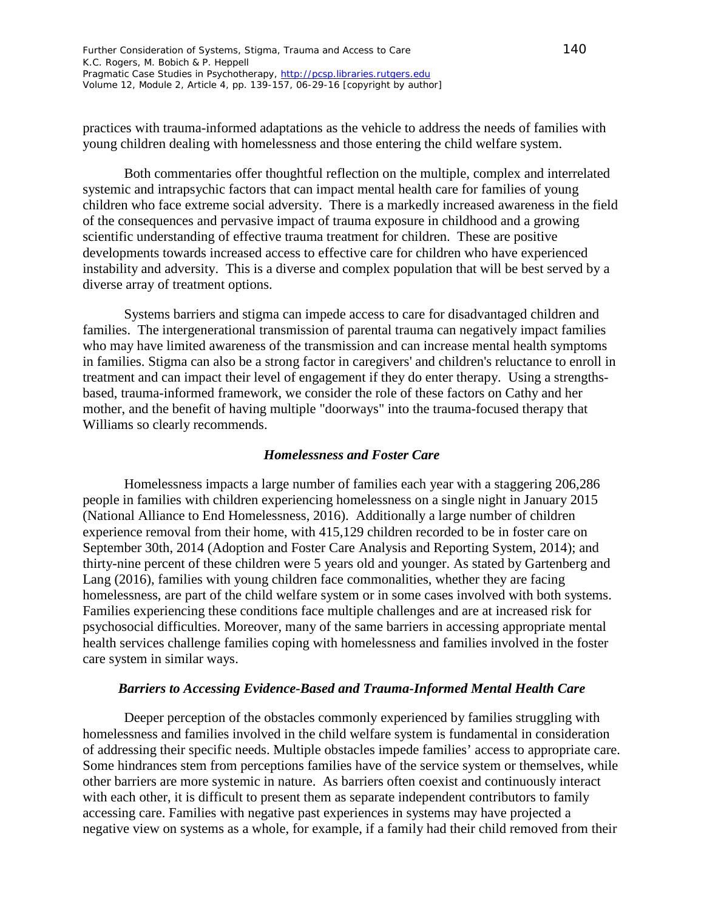practices with trauma-informed adaptations as the vehicle to address the needs of families with young children dealing with homelessness and those entering the child welfare system.

Both commentaries offer thoughtful reflection on the multiple, complex and interrelated systemic and intrapsychic factors that can impact mental health care for families of young children who face extreme social adversity. There is a markedly increased awareness in the field of the consequences and pervasive impact of trauma exposure in childhood and a growing scientific understanding of effective trauma treatment for children. These are positive developments towards increased access to effective care for children who have experienced instability and adversity. This is a diverse and complex population that will be best served by a diverse array of treatment options.

Systems barriers and stigma can impede access to care for disadvantaged children and families. The intergenerational transmission of parental trauma can negatively impact families who may have limited awareness of the transmission and can increase mental health symptoms in families. Stigma can also be a strong factor in caregivers' and children's reluctance to enroll in treatment and can impact their level of engagement if they do enter therapy. Using a strengthsbased, trauma-informed framework, we consider the role of these factors on Cathy and her mother, and the benefit of having multiple "doorways" into the trauma-focused therapy that Williams so clearly recommends.

#### *Homelessness and Foster Care*

Homelessness impacts a large number of families each year with a staggering 206,286 people in families with children experiencing homelessness on a single night in January 2015 (National Alliance to End Homelessness, 2016). Additionally a large number of children experience removal from their home, with 415,129 children recorded to be in foster care on September 30th, 2014 (Adoption and Foster Care Analysis and Reporting System, 2014); and thirty-nine percent of these children were 5 years old and younger. As stated by Gartenberg and Lang (2016), families with young children face commonalities, whether they are facing homelessness, are part of the child welfare system or in some cases involved with both systems. Families experiencing these conditions face multiple challenges and are at increased risk for psychosocial difficulties. Moreover, many of the same barriers in accessing appropriate mental health services challenge families coping with homelessness and families involved in the foster care system in similar ways.

### *Barriers to Accessing Evidence-Based and Trauma-Informed Mental Health Care*

Deeper perception of the obstacles commonly experienced by families struggling with homelessness and families involved in the child welfare system is fundamental in consideration of addressing their specific needs. Multiple obstacles impede families' access to appropriate care. Some hindrances stem from perceptions families have of the service system or themselves, while other barriers are more systemic in nature. As barriers often coexist and continuously interact with each other, it is difficult to present them as separate independent contributors to family accessing care. Families with negative past experiences in systems may have projected a negative view on systems as a whole, for example, if a family had their child removed from their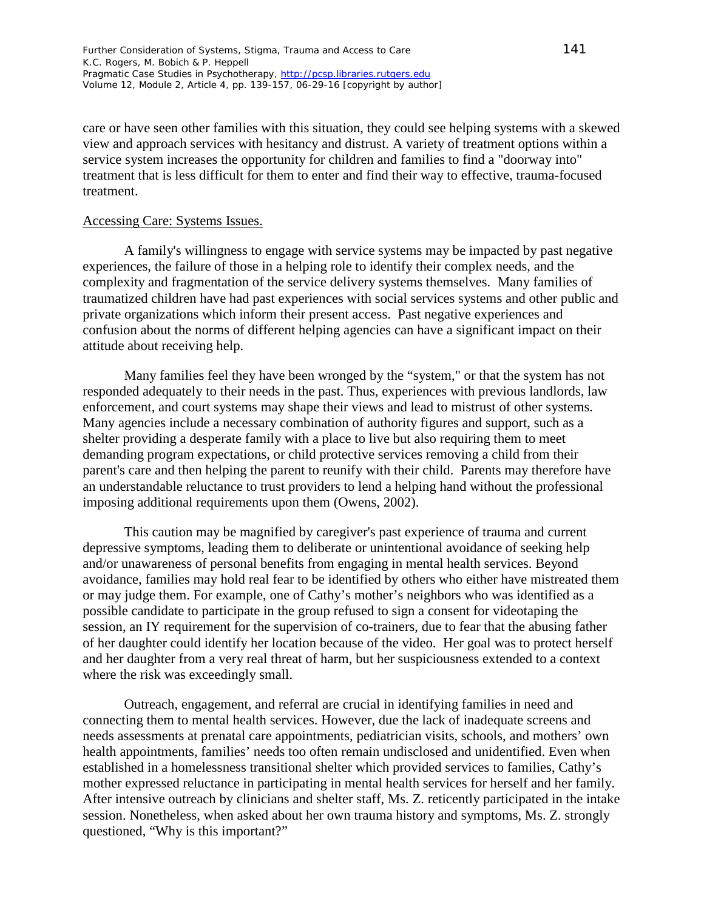care or have seen other families with this situation, they could see helping systems with a skewed view and approach services with hesitancy and distrust. A variety of treatment options within a service system increases the opportunity for children and families to find a "doorway into" treatment that is less difficult for them to enter and find their way to effective, trauma-focused treatment.

### Accessing Care: Systems Issues.

A family's willingness to engage with service systems may be impacted by past negative experiences, the failure of those in a helping role to identify their complex needs, and the complexity and fragmentation of the service delivery systems themselves. Many families of traumatized children have had past experiences with social services systems and other public and private organizations which inform their present access. Past negative experiences and confusion about the norms of different helping agencies can have a significant impact on their attitude about receiving help.

Many families feel they have been wronged by the "system," or that the system has not responded adequately to their needs in the past. Thus, experiences with previous landlords, law enforcement, and court systems may shape their views and lead to mistrust of other systems. Many agencies include a necessary combination of authority figures and support, such as a shelter providing a desperate family with a place to live but also requiring them to meet demanding program expectations, or child protective services removing a child from their parent's care and then helping the parent to reunify with their child. Parents may therefore have an understandable reluctance to trust providers to lend a helping hand without the professional imposing additional requirements upon them (Owens, 2002).

This caution may be magnified by caregiver's past experience of trauma and current depressive symptoms, leading them to deliberate or unintentional avoidance of seeking help and/or unawareness of personal benefits from engaging in mental health services. Beyond avoidance, families may hold real fear to be identified by others who either have mistreated them or may judge them. For example, one of Cathy's mother's neighbors who was identified as a possible candidate to participate in the group refused to sign a consent for videotaping the session, an IY requirement for the supervision of co-trainers, due to fear that the abusing father of her daughter could identify her location because of the video. Her goal was to protect herself and her daughter from a very real threat of harm, but her suspiciousness extended to a context where the risk was exceedingly small.

Outreach, engagement, and referral are crucial in identifying families in need and connecting them to mental health services. However, due the lack of inadequate screens and needs assessments at prenatal care appointments, pediatrician visits, schools, and mothers' own health appointments, families' needs too often remain undisclosed and unidentified. Even when established in a homelessness transitional shelter which provided services to families, Cathy's mother expressed reluctance in participating in mental health services for herself and her family. After intensive outreach by clinicians and shelter staff, Ms. Z. reticently participated in the intake session. Nonetheless, when asked about her own trauma history and symptoms, Ms. Z. strongly questioned, "Why is this important?"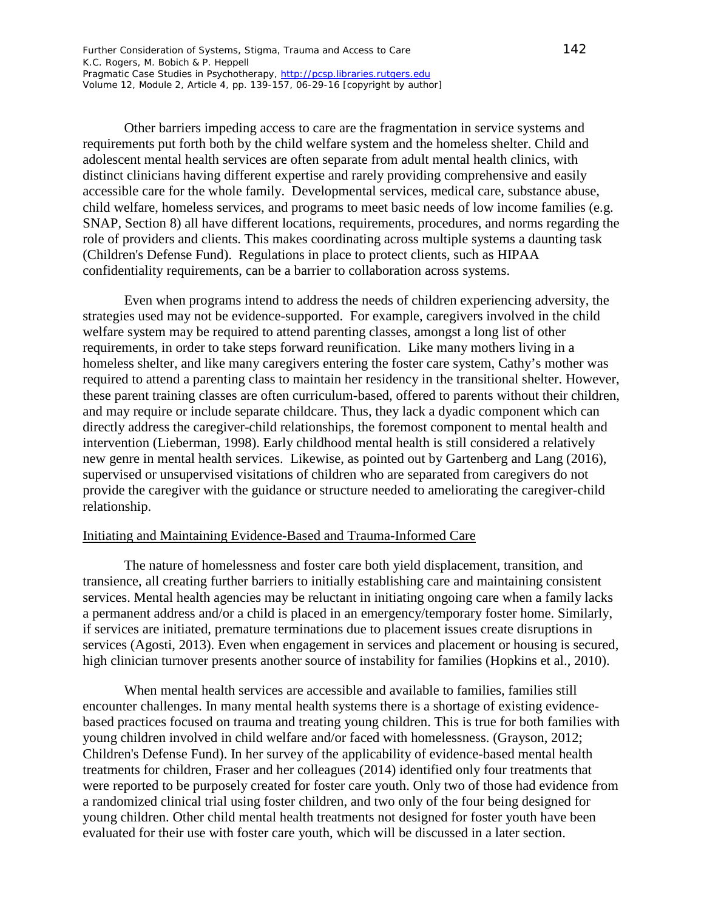Other barriers impeding access to care are the fragmentation in service systems and requirements put forth both by the child welfare system and the homeless shelter. Child and adolescent mental health services are often separate from adult mental health clinics, with distinct clinicians having different expertise and rarely providing comprehensive and easily accessible care for the whole family. Developmental services, medical care, substance abuse, child welfare, homeless services, and programs to meet basic needs of low income families (e.g. SNAP, Section 8) all have different locations, requirements, procedures, and norms regarding the role of providers and clients. This makes coordinating across multiple systems a daunting task (Children's Defense Fund). Regulations in place to protect clients, such as HIPAA confidentiality requirements, can be a barrier to collaboration across systems.

Even when programs intend to address the needs of children experiencing adversity, the strategies used may not be evidence-supported. For example, caregivers involved in the child welfare system may be required to attend parenting classes, amongst a long list of other requirements, in order to take steps forward reunification. Like many mothers living in a homeless shelter, and like many caregivers entering the foster care system, Cathy's mother was required to attend a parenting class to maintain her residency in the transitional shelter. However, these parent training classes are often curriculum-based, offered to parents without their children, and may require or include separate childcare. Thus, they lack a dyadic component which can directly address the caregiver-child relationships, the foremost component to mental health and intervention (Lieberman, 1998). Early childhood mental health is still considered a relatively new genre in mental health services. Likewise, as pointed out by Gartenberg and Lang (2016), supervised or unsupervised visitations of children who are separated from caregivers do not provide the caregiver with the guidance or structure needed to ameliorating the caregiver-child relationship.

#### Initiating and Maintaining Evidence-Based and Trauma-Informed Care

The nature of homelessness and foster care both yield displacement, transition, and transience, all creating further barriers to initially establishing care and maintaining consistent services. Mental health agencies may be reluctant in initiating ongoing care when a family lacks a permanent address and/or a child is placed in an emergency/temporary foster home. Similarly, if services are initiated, premature terminations due to placement issues create disruptions in services (Agosti, 2013). Even when engagement in services and placement or housing is secured, high clinician turnover presents another source of instability for families (Hopkins et al., 2010).

When mental health services are accessible and available to families, families still encounter challenges. In many mental health systems there is a shortage of existing evidencebased practices focused on trauma and treating young children. This is true for both families with young children involved in child welfare and/or faced with homelessness. (Grayson, 2012; Children's Defense Fund). In her survey of the applicability of evidence-based mental health treatments for children, Fraser and her colleagues (2014) identified only four treatments that were reported to be purposely created for foster care youth. Only two of those had evidence from a randomized clinical trial using foster children, and two only of the four being designed for young children. Other child mental health treatments not designed for foster youth have been evaluated for their use with foster care youth, which will be discussed in a later section.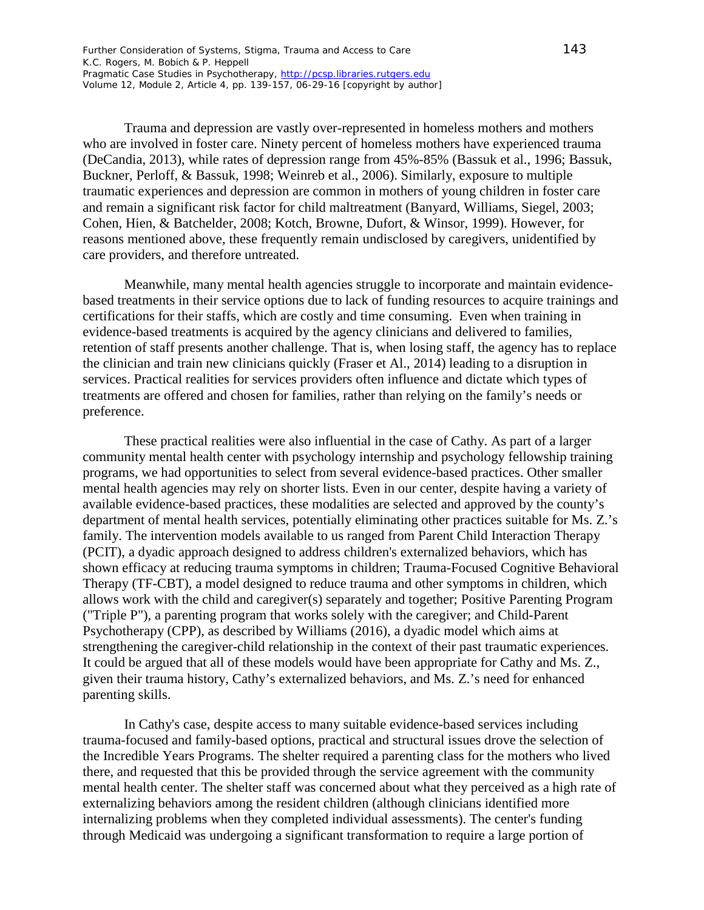Trauma and depression are vastly over-represented in homeless mothers and mothers who are involved in foster care. Ninety percent of homeless mothers have experienced trauma (DeCandia, 2013), while rates of depression range from 45%-85% (Bassuk et al., 1996; Bassuk, Buckner, Perloff, & Bassuk, 1998; Weinreb et al., 2006). Similarly, exposure to multiple traumatic experiences and depression are common in mothers of young children in foster care and remain a significant risk factor for child maltreatment (Banyard, Williams, Siegel, 2003; Cohen, Hien, & Batchelder, 2008; Kotch, Browne, Dufort, & Winsor, 1999). However, for reasons mentioned above, these frequently remain undisclosed by caregivers, unidentified by care providers, and therefore untreated.

Meanwhile, many mental health agencies struggle to incorporate and maintain evidencebased treatments in their service options due to lack of funding resources to acquire trainings and certifications for their staffs, which are costly and time consuming. Even when training in evidence-based treatments is acquired by the agency clinicians and delivered to families, retention of staff presents another challenge. That is, when losing staff, the agency has to replace the clinician and train new clinicians quickly (Fraser et Al., 2014) leading to a disruption in services. Practical realities for services providers often influence and dictate which types of treatments are offered and chosen for families, rather than relying on the family's needs or preference.

These practical realities were also influential in the case of Cathy. As part of a larger community mental health center with psychology internship and psychology fellowship training programs, we had opportunities to select from several evidence-based practices. Other smaller mental health agencies may rely on shorter lists. Even in our center, despite having a variety of available evidence-based practices, these modalities are selected and approved by the county's department of mental health services, potentially eliminating other practices suitable for Ms. Z.'s family. The intervention models available to us ranged from Parent Child Interaction Therapy (PCIT), a dyadic approach designed to address children's externalized behaviors, which has shown efficacy at reducing trauma symptoms in children; Trauma-Focused Cognitive Behavioral Therapy (TF-CBT), a model designed to reduce trauma and other symptoms in children, which allows work with the child and caregiver(s) separately and together; Positive Parenting Program ("Triple P"), a parenting program that works solely with the caregiver; and Child-Parent Psychotherapy (CPP), as described by Williams (2016), a dyadic model which aims at strengthening the caregiver-child relationship in the context of their past traumatic experiences. It could be argued that all of these models would have been appropriate for Cathy and Ms. Z., given their trauma history, Cathy's externalized behaviors, and Ms. Z.'s need for enhanced parenting skills.

In Cathy's case, despite access to many suitable evidence-based services including trauma-focused and family-based options, practical and structural issues drove the selection of the Incredible Years Programs. The shelter required a parenting class for the mothers who lived there, and requested that this be provided through the service agreement with the community mental health center. The shelter staff was concerned about what they perceived as a high rate of externalizing behaviors among the resident children (although clinicians identified more internalizing problems when they completed individual assessments). The center's funding through Medicaid was undergoing a significant transformation to require a large portion of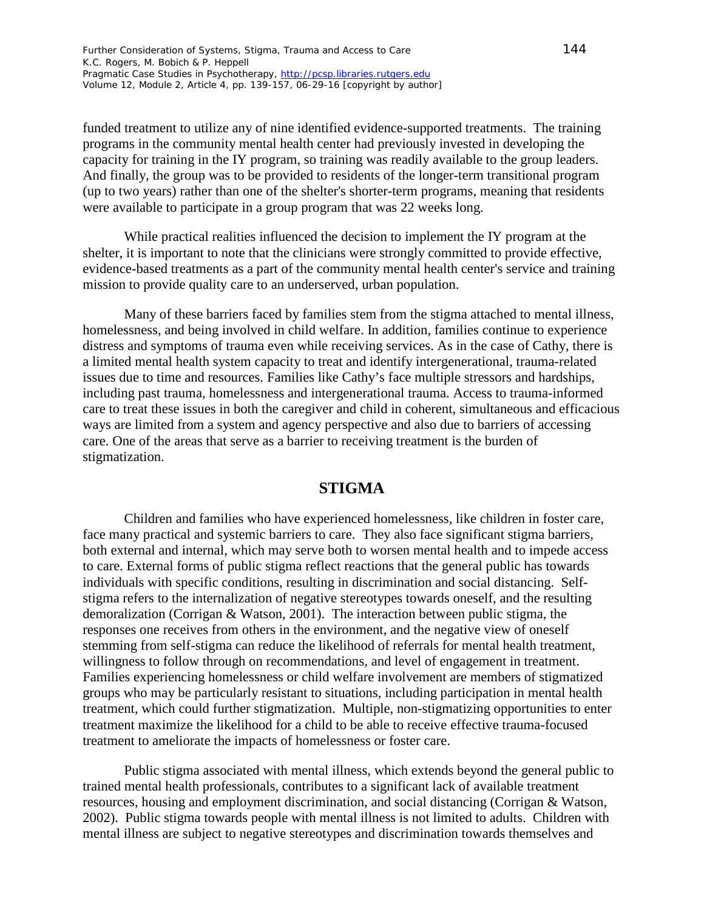funded treatment to utilize any of nine identified evidence-supported treatments. The training programs in the community mental health center had previously invested in developing the capacity for training in the IY program, so training was readily available to the group leaders. And finally, the group was to be provided to residents of the longer-term transitional program (up to two years) rather than one of the shelter's shorter-term programs, meaning that residents were available to participate in a group program that was 22 weeks long.

While practical realities influenced the decision to implement the IY program at the shelter, it is important to note that the clinicians were strongly committed to provide effective, evidence-based treatments as a part of the community mental health center's service and training mission to provide quality care to an underserved, urban population.

Many of these barriers faced by families stem from the stigma attached to mental illness, homelessness, and being involved in child welfare. In addition, families continue to experience distress and symptoms of trauma even while receiving services. As in the case of Cathy, there is a limited mental health system capacity to treat and identify intergenerational, trauma-related issues due to time and resources. Families like Cathy's face multiple stressors and hardships, including past trauma, homelessness and intergenerational trauma. Access to trauma-informed care to treat these issues in both the caregiver and child in coherent, simultaneous and efficacious ways are limited from a system and agency perspective and also due to barriers of accessing care. One of the areas that serve as a barrier to receiving treatment is the burden of stigmatization.

## **STIGMA**

Children and families who have experienced homelessness, like children in foster care, face many practical and systemic barriers to care. They also face significant stigma barriers, both external and internal, which may serve both to worsen mental health and to impede access to care. External forms of public stigma reflect reactions that the general public has towards individuals with specific conditions, resulting in discrimination and social distancing. Selfstigma refers to the internalization of negative stereotypes towards oneself, and the resulting demoralization (Corrigan & Watson, 2001). The interaction between public stigma, the responses one receives from others in the environment, and the negative view of oneself stemming from self-stigma can reduce the likelihood of referrals for mental health treatment, willingness to follow through on recommendations, and level of engagement in treatment. Families experiencing homelessness or child welfare involvement are members of stigmatized groups who may be particularly resistant to situations, including participation in mental health treatment, which could further stigmatization. Multiple, non-stigmatizing opportunities to enter treatment maximize the likelihood for a child to be able to receive effective trauma-focused treatment to ameliorate the impacts of homelessness or foster care.

Public stigma associated with mental illness, which extends beyond the general public to trained mental health professionals, contributes to a significant lack of available treatment resources, housing and employment discrimination, and social distancing (Corrigan & Watson, 2002). Public stigma towards people with mental illness is not limited to adults. Children with mental illness are subject to negative stereotypes and discrimination towards themselves and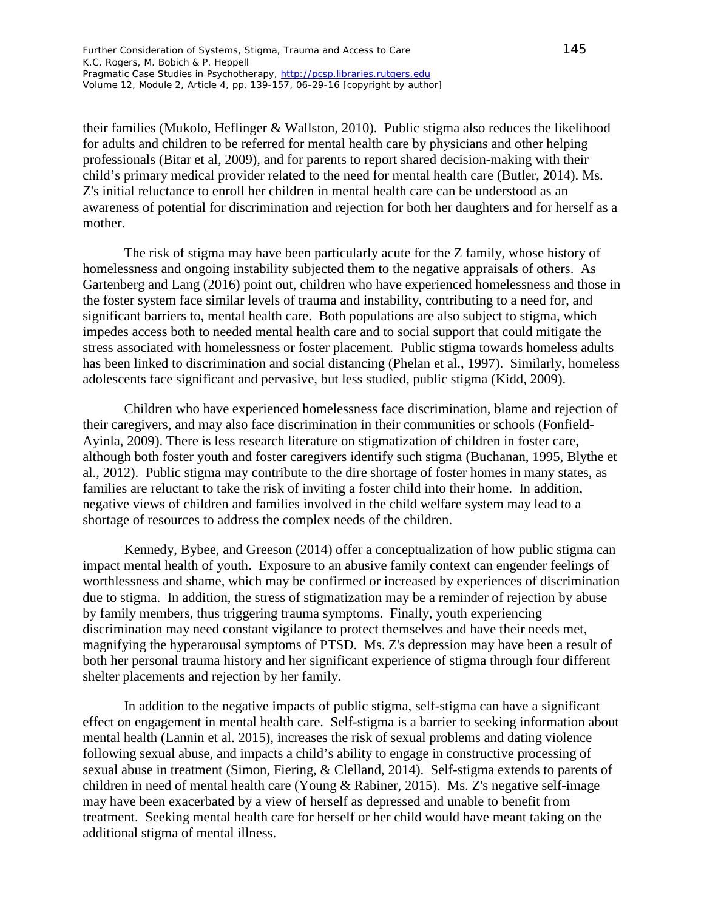their families (Mukolo, Heflinger & Wallston, 2010). Public stigma also reduces the likelihood for adults and children to be referred for mental health care by physicians and other helping professionals (Bitar et al, 2009), and for parents to report shared decision-making with their child's primary medical provider related to the need for mental health care (Butler, 2014). Ms. Z's initial reluctance to enroll her children in mental health care can be understood as an awareness of potential for discrimination and rejection for both her daughters and for herself as a mother.

The risk of stigma may have been particularly acute for the Z family, whose history of homelessness and ongoing instability subjected them to the negative appraisals of others. As Gartenberg and Lang (2016) point out, children who have experienced homelessness and those in the foster system face similar levels of trauma and instability, contributing to a need for, and significant barriers to, mental health care. Both populations are also subject to stigma, which impedes access both to needed mental health care and to social support that could mitigate the stress associated with homelessness or foster placement. Public stigma towards homeless adults has been linked to discrimination and social distancing (Phelan et al., 1997). Similarly, homeless adolescents face significant and pervasive, but less studied, public stigma (Kidd, 2009).

Children who have experienced homelessness face discrimination, blame and rejection of their caregivers, and may also face discrimination in their communities or schools (Fonfield-Ayinla, 2009). There is less research literature on stigmatization of children in foster care, although both foster youth and foster caregivers identify such stigma (Buchanan, 1995, Blythe et al., 2012). Public stigma may contribute to the dire shortage of foster homes in many states, as families are reluctant to take the risk of inviting a foster child into their home. In addition, negative views of children and families involved in the child welfare system may lead to a shortage of resources to address the complex needs of the children.

Kennedy, Bybee, and Greeson (2014) offer a conceptualization of how public stigma can impact mental health of youth. Exposure to an abusive family context can engender feelings of worthlessness and shame, which may be confirmed or increased by experiences of discrimination due to stigma. In addition, the stress of stigmatization may be a reminder of rejection by abuse by family members, thus triggering trauma symptoms. Finally, youth experiencing discrimination may need constant vigilance to protect themselves and have their needs met, magnifying the hyperarousal symptoms of PTSD. Ms. Z's depression may have been a result of both her personal trauma history and her significant experience of stigma through four different shelter placements and rejection by her family.

In addition to the negative impacts of public stigma, self-stigma can have a significant effect on engagement in mental health care. Self-stigma is a barrier to seeking information about mental health (Lannin et al. 2015), increases the risk of sexual problems and dating violence following sexual abuse, and impacts a child's ability to engage in constructive processing of sexual abuse in treatment (Simon, Fiering, & Clelland, 2014). Self-stigma extends to parents of children in need of mental health care (Young & Rabiner, 2015). Ms. Z's negative self-image may have been exacerbated by a view of herself as depressed and unable to benefit from treatment. Seeking mental health care for herself or her child would have meant taking on the additional stigma of mental illness.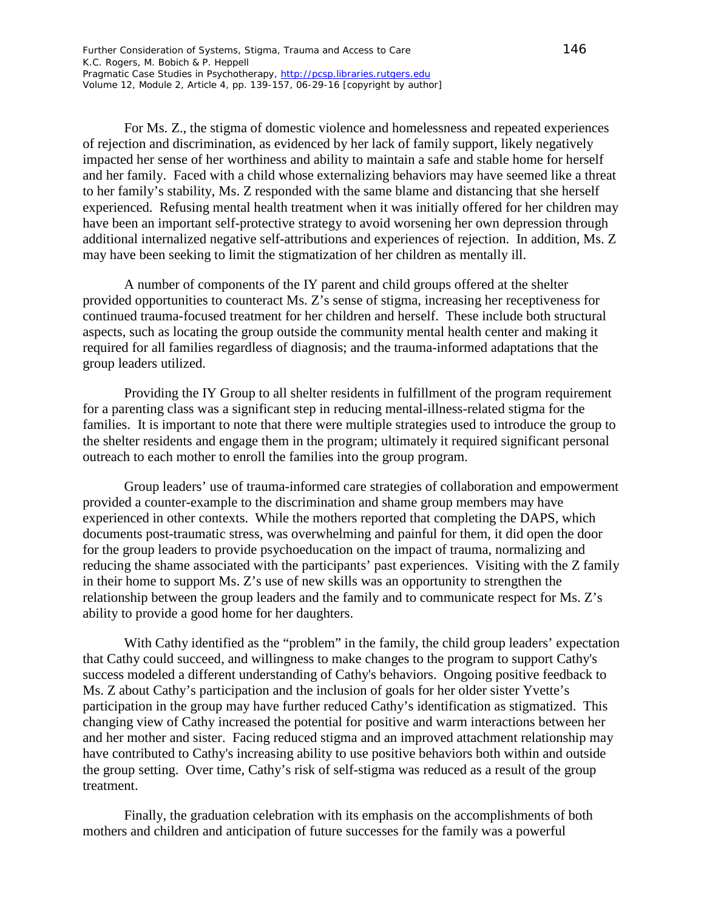For Ms. Z., the stigma of domestic violence and homelessness and repeated experiences of rejection and discrimination, as evidenced by her lack of family support, likely negatively impacted her sense of her worthiness and ability to maintain a safe and stable home for herself and her family. Faced with a child whose externalizing behaviors may have seemed like a threat to her family's stability, Ms. Z responded with the same blame and distancing that she herself experienced. Refusing mental health treatment when it was initially offered for her children may have been an important self-protective strategy to avoid worsening her own depression through additional internalized negative self-attributions and experiences of rejection. In addition, Ms. Z may have been seeking to limit the stigmatization of her children as mentally ill.

A number of components of the IY parent and child groups offered at the shelter provided opportunities to counteract Ms. Z's sense of stigma, increasing her receptiveness for continued trauma-focused treatment for her children and herself. These include both structural aspects, such as locating the group outside the community mental health center and making it required for all families regardless of diagnosis; and the trauma-informed adaptations that the group leaders utilized.

Providing the IY Group to all shelter residents in fulfillment of the program requirement for a parenting class was a significant step in reducing mental-illness-related stigma for the families. It is important to note that there were multiple strategies used to introduce the group to the shelter residents and engage them in the program; ultimately it required significant personal outreach to each mother to enroll the families into the group program.

Group leaders' use of trauma-informed care strategies of collaboration and empowerment provided a counter-example to the discrimination and shame group members may have experienced in other contexts. While the mothers reported that completing the DAPS, which documents post-traumatic stress, was overwhelming and painful for them, it did open the door for the group leaders to provide psychoeducation on the impact of trauma, normalizing and reducing the shame associated with the participants' past experiences. Visiting with the Z family in their home to support Ms. Z's use of new skills was an opportunity to strengthen the relationship between the group leaders and the family and to communicate respect for Ms. Z's ability to provide a good home for her daughters.

With Cathy identified as the "problem" in the family, the child group leaders' expectation that Cathy could succeed, and willingness to make changes to the program to support Cathy's success modeled a different understanding of Cathy's behaviors. Ongoing positive feedback to Ms. Z about Cathy's participation and the inclusion of goals for her older sister Yvette's participation in the group may have further reduced Cathy's identification as stigmatized. This changing view of Cathy increased the potential for positive and warm interactions between her and her mother and sister. Facing reduced stigma and an improved attachment relationship may have contributed to Cathy's increasing ability to use positive behaviors both within and outside the group setting. Over time, Cathy's risk of self-stigma was reduced as a result of the group treatment.

Finally, the graduation celebration with its emphasis on the accomplishments of both mothers and children and anticipation of future successes for the family was a powerful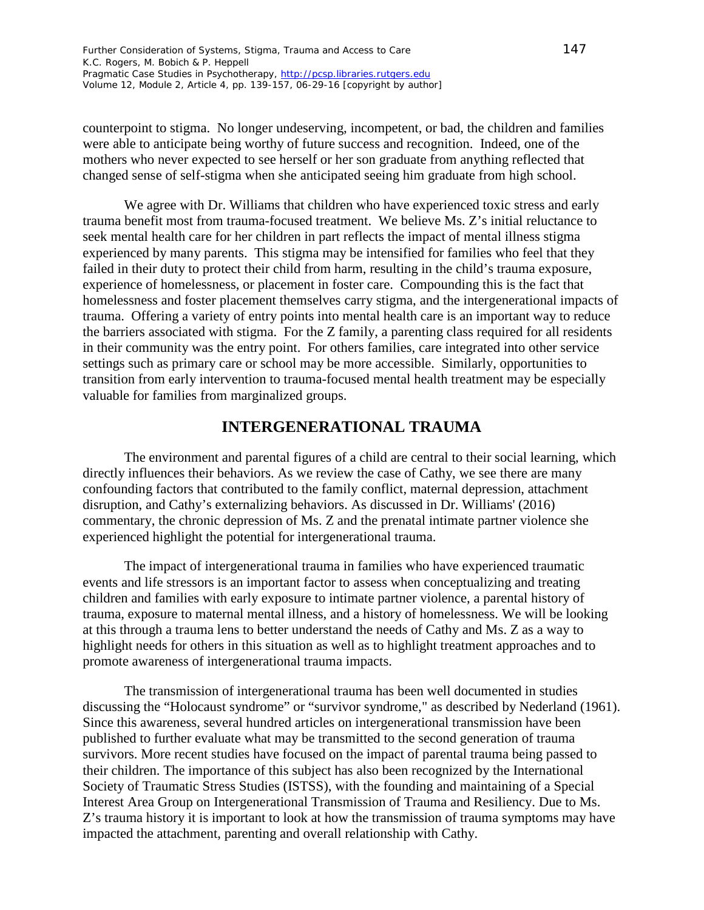counterpoint to stigma. No longer undeserving, incompetent, or bad, the children and families were able to anticipate being worthy of future success and recognition. Indeed, one of the mothers who never expected to see herself or her son graduate from anything reflected that changed sense of self-stigma when she anticipated seeing him graduate from high school.

We agree with Dr. Williams that children who have experienced toxic stress and early trauma benefit most from trauma-focused treatment. We believe Ms. Z's initial reluctance to seek mental health care for her children in part reflects the impact of mental illness stigma experienced by many parents. This stigma may be intensified for families who feel that they failed in their duty to protect their child from harm, resulting in the child's trauma exposure, experience of homelessness, or placement in foster care. Compounding this is the fact that homelessness and foster placement themselves carry stigma, and the intergenerational impacts of trauma. Offering a variety of entry points into mental health care is an important way to reduce the barriers associated with stigma. For the Z family, a parenting class required for all residents in their community was the entry point. For others families, care integrated into other service settings such as primary care or school may be more accessible. Similarly, opportunities to transition from early intervention to trauma-focused mental health treatment may be especially valuable for families from marginalized groups.

## **INTERGENERATIONAL TRAUMA**

The environment and parental figures of a child are central to their social learning, which directly influences their behaviors. As we review the case of Cathy, we see there are many confounding factors that contributed to the family conflict, maternal depression, attachment disruption, and Cathy's externalizing behaviors. As discussed in Dr. Williams' (2016) commentary, the chronic depression of Ms. Z and the prenatal intimate partner violence she experienced highlight the potential for intergenerational trauma.

The impact of intergenerational trauma in families who have experienced traumatic events and life stressors is an important factor to assess when conceptualizing and treating children and families with early exposure to intimate partner violence, a parental history of trauma, exposure to maternal mental illness, and a history of homelessness. We will be looking at this through a trauma lens to better understand the needs of Cathy and Ms. Z as a way to highlight needs for others in this situation as well as to highlight treatment approaches and to promote awareness of intergenerational trauma impacts.

The transmission of intergenerational trauma has been well documented in studies discussing the "Holocaust syndrome" or "survivor syndrome," as described by Nederland (1961). Since this awareness, several hundred articles on intergenerational transmission have been published to further evaluate what may be transmitted to the second generation of trauma survivors. More recent studies have focused on the impact of parental trauma being passed to their children. The importance of this subject has also been recognized by the International Society of Traumatic Stress Studies (ISTSS), with the founding and maintaining of a Special Interest Area Group on Intergenerational Transmission of Trauma and Resiliency. Due to Ms. Z's trauma history it is important to look at how the transmission of trauma symptoms may have impacted the attachment, parenting and overall relationship with Cathy.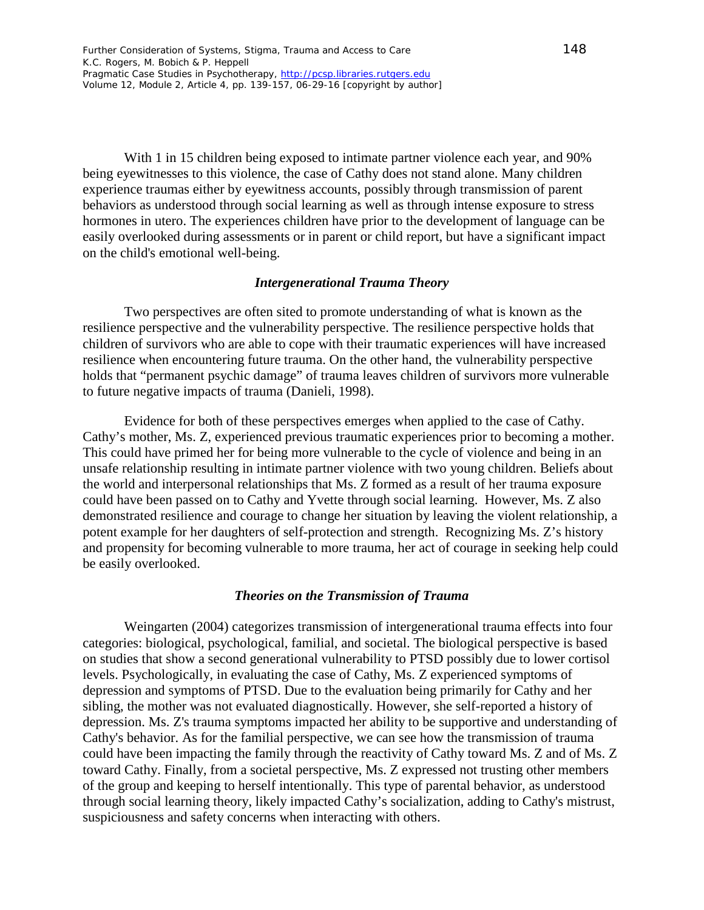With 1 in 15 children being exposed to intimate partner violence each year, and 90% being eyewitnesses to this violence, the case of Cathy does not stand alone. Many children experience traumas either by eyewitness accounts, possibly through transmission of parent behaviors as understood through social learning as well as through intense exposure to stress hormones in utero. The experiences children have prior to the development of language can be easily overlooked during assessments or in parent or child report, but have a significant impact on the child's emotional well-being.

#### *Intergenerational Trauma Theory*

Two perspectives are often sited to promote understanding of what is known as the resilience perspective and the vulnerability perspective. The resilience perspective holds that children of survivors who are able to cope with their traumatic experiences will have increased resilience when encountering future trauma. On the other hand, the vulnerability perspective holds that "permanent psychic damage" of trauma leaves children of survivors more vulnerable to future negative impacts of trauma (Danieli, 1998).

Evidence for both of these perspectives emerges when applied to the case of Cathy. Cathy's mother, Ms. Z, experienced previous traumatic experiences prior to becoming a mother. This could have primed her for being more vulnerable to the cycle of violence and being in an unsafe relationship resulting in intimate partner violence with two young children. Beliefs about the world and interpersonal relationships that Ms. Z formed as a result of her trauma exposure could have been passed on to Cathy and Yvette through social learning. However, Ms. Z also demonstrated resilience and courage to change her situation by leaving the violent relationship, a potent example for her daughters of self-protection and strength. Recognizing Ms. Z's history and propensity for becoming vulnerable to more trauma, her act of courage in seeking help could be easily overlooked.

#### *Theories on the Transmission of Trauma*

Weingarten (2004) categorizes transmission of intergenerational trauma effects into four categories: biological, psychological, familial, and societal. The biological perspective is based on studies that show a second generational vulnerability to PTSD possibly due to lower cortisol levels. Psychologically, in evaluating the case of Cathy, Ms. Z experienced symptoms of depression and symptoms of PTSD. Due to the evaluation being primarily for Cathy and her sibling, the mother was not evaluated diagnostically. However, she self-reported a history of depression. Ms. Z's trauma symptoms impacted her ability to be supportive and understanding of Cathy's behavior. As for the familial perspective, we can see how the transmission of trauma could have been impacting the family through the reactivity of Cathy toward Ms. Z and of Ms. Z toward Cathy. Finally, from a societal perspective, Ms. Z expressed not trusting other members of the group and keeping to herself intentionally. This type of parental behavior, as understood through social learning theory, likely impacted Cathy's socialization, adding to Cathy's mistrust, suspiciousness and safety concerns when interacting with others.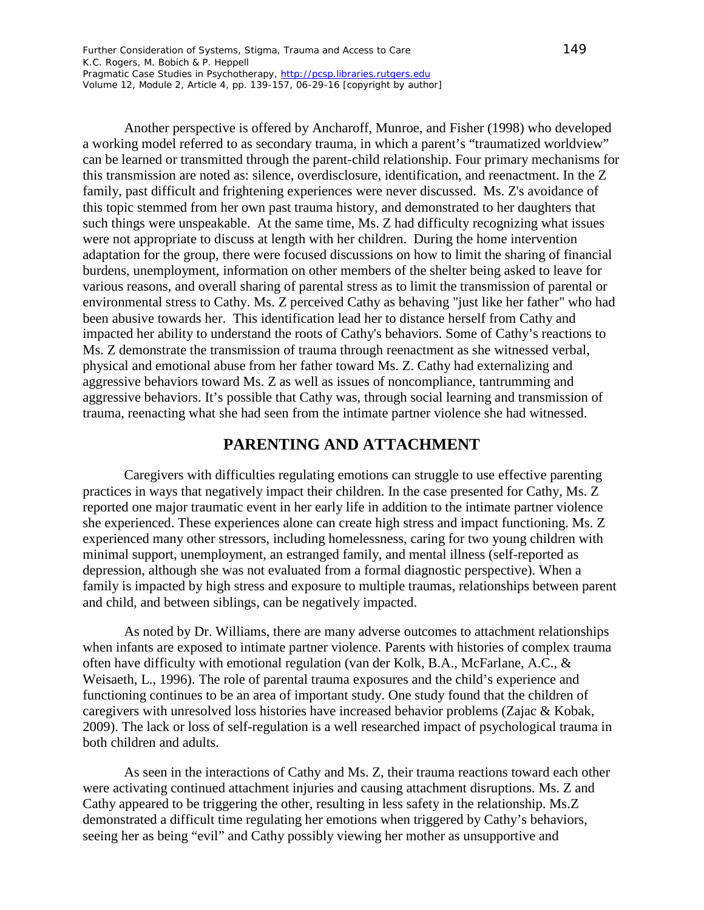Another perspective is offered by Ancharoff, Munroe, and Fisher (1998) who developed a working model referred to as secondary trauma, in which a parent's "traumatized worldview" can be learned or transmitted through the parent-child relationship. Four primary mechanisms for this transmission are noted as: silence, overdisclosure, identification, and reenactment. In the Z family, past difficult and frightening experiences were never discussed. Ms. Z's avoidance of this topic stemmed from her own past trauma history, and demonstrated to her daughters that such things were unspeakable. At the same time, Ms. Z had difficulty recognizing what issues were not appropriate to discuss at length with her children. During the home intervention adaptation for the group, there were focused discussions on how to limit the sharing of financial burdens, unemployment, information on other members of the shelter being asked to leave for various reasons, and overall sharing of parental stress as to limit the transmission of parental or environmental stress to Cathy. Ms. Z perceived Cathy as behaving "just like her father" who had been abusive towards her. This identification lead her to distance herself from Cathy and impacted her ability to understand the roots of Cathy's behaviors. Some of Cathy's reactions to Ms. Z demonstrate the transmission of trauma through reenactment as she witnessed verbal, physical and emotional abuse from her father toward Ms. Z. Cathy had externalizing and aggressive behaviors toward Ms. Z as well as issues of noncompliance, tantrumming and aggressive behaviors. It's possible that Cathy was, through social learning and transmission of trauma, reenacting what she had seen from the intimate partner violence she had witnessed.

# **PARENTING AND ATTACHMENT**

Caregivers with difficulties regulating emotions can struggle to use effective parenting practices in ways that negatively impact their children. In the case presented for Cathy, Ms. Z reported one major traumatic event in her early life in addition to the intimate partner violence she experienced. These experiences alone can create high stress and impact functioning. Ms. Z experienced many other stressors, including homelessness, caring for two young children with minimal support, unemployment, an estranged family, and mental illness (self-reported as depression, although she was not evaluated from a formal diagnostic perspective). When a family is impacted by high stress and exposure to multiple traumas, relationships between parent and child, and between siblings, can be negatively impacted.

As noted by Dr. Williams, there are many adverse outcomes to attachment relationships when infants are exposed to intimate partner violence. Parents with histories of complex trauma often have difficulty with emotional regulation (van der Kolk, B.A., McFarlane, A.C., & Weisaeth, L., 1996). The role of parental trauma exposures and the child's experience and functioning continues to be an area of important study. One study found that the children of caregivers with unresolved loss histories have increased behavior problems (Zajac & Kobak, 2009). The lack or loss of self-regulation is a well researched impact of psychological trauma in both children and adults.

As seen in the interactions of Cathy and Ms. Z, their trauma reactions toward each other were activating continued attachment injuries and causing attachment disruptions. Ms. Z and Cathy appeared to be triggering the other, resulting in less safety in the relationship. Ms.Z demonstrated a difficult time regulating her emotions when triggered by Cathy's behaviors, seeing her as being "evil" and Cathy possibly viewing her mother as unsupportive and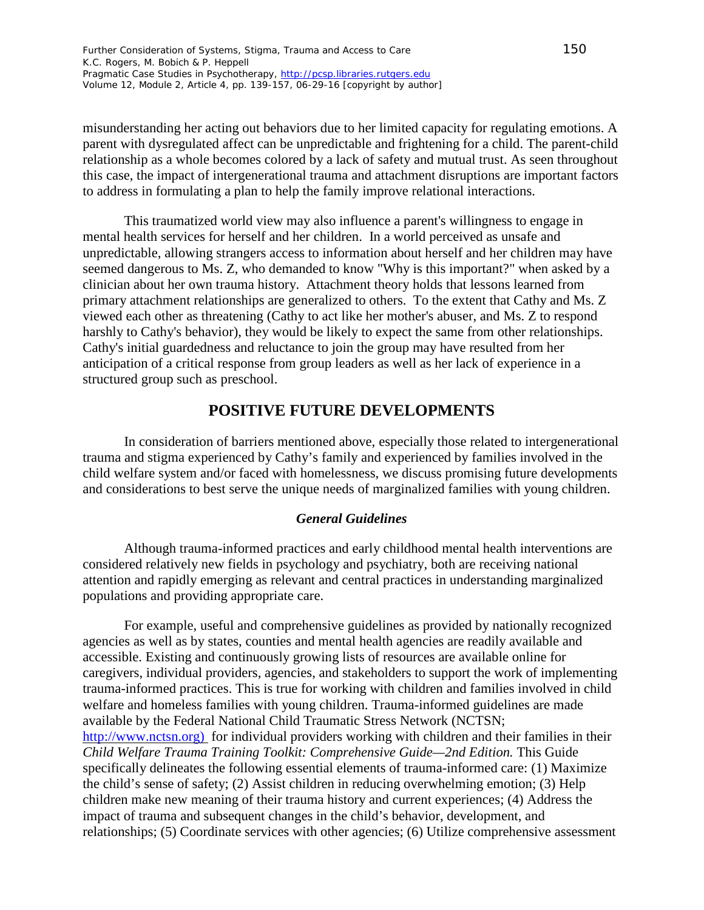misunderstanding her acting out behaviors due to her limited capacity for regulating emotions. A parent with dysregulated affect can be unpredictable and frightening for a child. The parent-child relationship as a whole becomes colored by a lack of safety and mutual trust. As seen throughout this case, the impact of intergenerational trauma and attachment disruptions are important factors to address in formulating a plan to help the family improve relational interactions.

This traumatized world view may also influence a parent's willingness to engage in mental health services for herself and her children. In a world perceived as unsafe and unpredictable, allowing strangers access to information about herself and her children may have seemed dangerous to Ms. Z, who demanded to know "Why is this important?" when asked by a clinician about her own trauma history. Attachment theory holds that lessons learned from primary attachment relationships are generalized to others. To the extent that Cathy and Ms. Z viewed each other as threatening (Cathy to act like her mother's abuser, and Ms. Z to respond harshly to Cathy's behavior), they would be likely to expect the same from other relationships. Cathy's initial guardedness and reluctance to join the group may have resulted from her anticipation of a critical response from group leaders as well as her lack of experience in a structured group such as preschool.

## **POSITIVE FUTURE DEVELOPMENTS**

In consideration of barriers mentioned above, especially those related to intergenerational trauma and stigma experienced by Cathy's family and experienced by families involved in the child welfare system and/or faced with homelessness, we discuss promising future developments and considerations to best serve the unique needs of marginalized families with young children.

### *General Guidelines*

Although trauma-informed practices and early childhood mental health interventions are considered relatively new fields in psychology and psychiatry, both are receiving national attention and rapidly emerging as relevant and central practices in understanding marginalized populations and providing appropriate care.

For example, useful and comprehensive guidelines as provided by nationally recognized agencies as well as by states, counties and mental health agencies are readily available and accessible. Existing and continuously growing lists of resources are available online for caregivers, individual providers, agencies, and stakeholders to support the work of implementing trauma-informed practices. This is true for working with children and families involved in child welfare and homeless families with young children. Trauma-informed guidelines are made available by the Federal National Child Traumatic Stress Network (NCTSN; http://www.nctsn.org) for individual providers working with children and their families in their *Child Welfare Trauma Training Toolkit: Comprehensive Guide—2nd Edition.* This Guide specifically delineates the following essential elements of trauma-informed care: (1) Maximize the child's sense of safety; (2) Assist children in reducing overwhelming emotion; (3) Help children make new meaning of their trauma history and current experiences; (4) Address the impact of trauma and subsequent changes in the child's behavior, development, and relationships; (5) Coordinate services with other agencies; (6) Utilize comprehensive assessment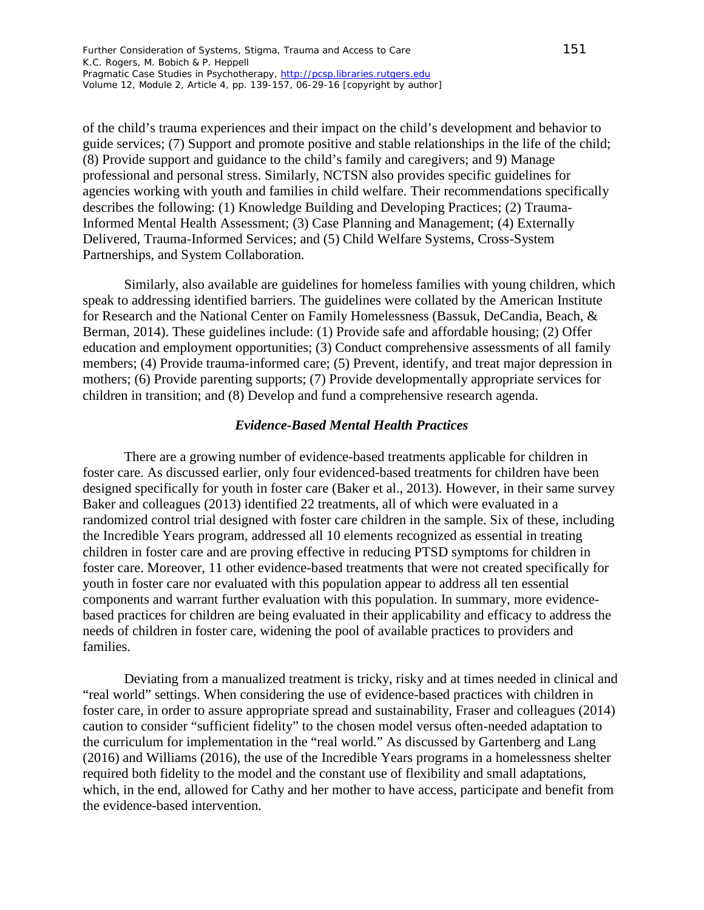of the child's trauma experiences and their impact on the child's development and behavior to guide services; (7) Support and promote positive and stable relationships in the life of the child; (8) Provide support and guidance to the child's family and caregivers; and 9) Manage professional and personal stress. Similarly, NCTSN also provides specific guidelines for agencies working with youth and families in child welfare. Their recommendations specifically describes the following: (1) Knowledge Building and Developing Practices; (2) Trauma-Informed Mental Health Assessment; (3) Case Planning and Management; (4) Externally Delivered, Trauma-Informed Services; and (5) Child Welfare Systems, Cross-System Partnerships, and System Collaboration.

Similarly, also available are guidelines for homeless families with young children, which speak to addressing identified barriers. The guidelines were collated by the American Institute for Research and the National Center on Family Homelessness (Bassuk, DeCandia, Beach, & Berman, 2014). These guidelines include: (1) Provide safe and affordable housing; (2) Offer education and employment opportunities; (3) Conduct comprehensive assessments of all family members; (4) Provide trauma-informed care; (5) Prevent, identify, and treat major depression in mothers; (6) Provide parenting supports; (7) Provide developmentally appropriate services for children in transition; and (8) Develop and fund a comprehensive research agenda.

#### *Evidence-Based Mental Health Practices*

There are a growing number of evidence-based treatments applicable for children in foster care. As discussed earlier, only four evidenced-based treatments for children have been designed specifically for youth in foster care (Baker et al., 2013). However, in their same survey Baker and colleagues (2013) identified 22 treatments, all of which were evaluated in a randomized control trial designed with foster care children in the sample. Six of these, including the Incredible Years program, addressed all 10 elements recognized as essential in treating children in foster care and are proving effective in reducing PTSD symptoms for children in foster care. Moreover, 11 other evidence-based treatments that were not created specifically for youth in foster care nor evaluated with this population appear to address all ten essential components and warrant further evaluation with this population. In summary, more evidencebased practices for children are being evaluated in their applicability and efficacy to address the needs of children in foster care, widening the pool of available practices to providers and families.

Deviating from a manualized treatment is tricky, risky and at times needed in clinical and "real world" settings. When considering the use of evidence-based practices with children in foster care, in order to assure appropriate spread and sustainability, Fraser and colleagues (2014) caution to consider "sufficient fidelity" to the chosen model versus often-needed adaptation to the curriculum for implementation in the "real world." As discussed by Gartenberg and Lang (2016) and Williams (2016), the use of the Incredible Years programs in a homelessness shelter required both fidelity to the model and the constant use of flexibility and small adaptations, which, in the end, allowed for Cathy and her mother to have access, participate and benefit from the evidence-based intervention.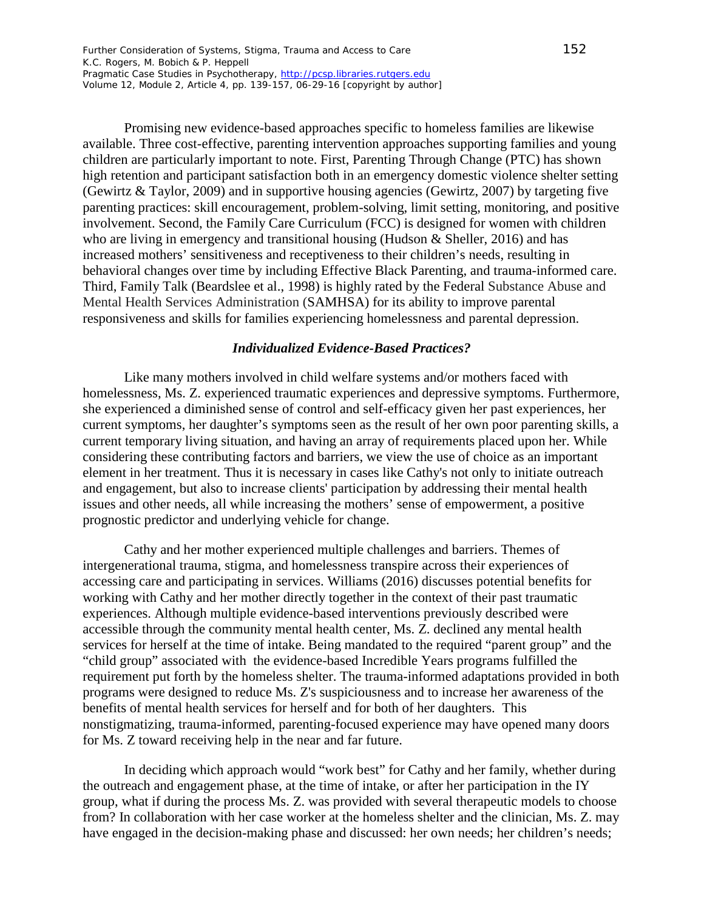Promising new evidence-based approaches specific to homeless families are likewise available. Three cost-effective, parenting intervention approaches supporting families and young children are particularly important to note. First, Parenting Through Change (PTC) has shown high retention and participant satisfaction both in an emergency domestic violence shelter setting (Gewirtz & Taylor, 2009) and in supportive housing agencies (Gewirtz, 2007) by targeting five parenting practices: skill encouragement, problem-solving, limit setting, monitoring, and positive involvement. Second, the Family Care Curriculum (FCC) is designed for women with children who are living in emergency and transitional housing (Hudson & Sheller, 2016) and has increased mothers' sensitiveness and receptiveness to their children's needs, resulting in behavioral changes over time by including Effective Black Parenting, and trauma-informed care. Third, Family Talk (Beardslee et al., 1998) is highly rated by the Federal Substance Abuse and Mental Health Services Administration (SAMHSA) for its ability to improve parental responsiveness and skills for families experiencing homelessness and parental depression.

### *Individualized Evidence-Based Practices?*

Like many mothers involved in child welfare systems and/or mothers faced with homelessness, Ms. Z. experienced traumatic experiences and depressive symptoms. Furthermore, she experienced a diminished sense of control and self-efficacy given her past experiences, her current symptoms, her daughter's symptoms seen as the result of her own poor parenting skills, a current temporary living situation, and having an array of requirements placed upon her. While considering these contributing factors and barriers, we view the use of choice as an important element in her treatment. Thus it is necessary in cases like Cathy's not only to initiate outreach and engagement, but also to increase clients' participation by addressing their mental health issues and other needs, all while increasing the mothers' sense of empowerment, a positive prognostic predictor and underlying vehicle for change.

Cathy and her mother experienced multiple challenges and barriers. Themes of intergenerational trauma, stigma, and homelessness transpire across their experiences of accessing care and participating in services. Williams (2016) discusses potential benefits for working with Cathy and her mother directly together in the context of their past traumatic experiences. Although multiple evidence-based interventions previously described were accessible through the community mental health center, Ms. Z. declined any mental health services for herself at the time of intake. Being mandated to the required "parent group" and the "child group" associated with the evidence-based Incredible Years programs fulfilled the requirement put forth by the homeless shelter. The trauma-informed adaptations provided in both programs were designed to reduce Ms. Z's suspiciousness and to increase her awareness of the benefits of mental health services for herself and for both of her daughters. This nonstigmatizing, trauma-informed, parenting-focused experience may have opened many doors for Ms. Z toward receiving help in the near and far future.

In deciding which approach would "work best" for Cathy and her family, whether during the outreach and engagement phase, at the time of intake, or after her participation in the IY group, what if during the process Ms. Z. was provided with several therapeutic models to choose from? In collaboration with her case worker at the homeless shelter and the clinician, Ms. Z. may have engaged in the decision-making phase and discussed: her own needs; her children's needs;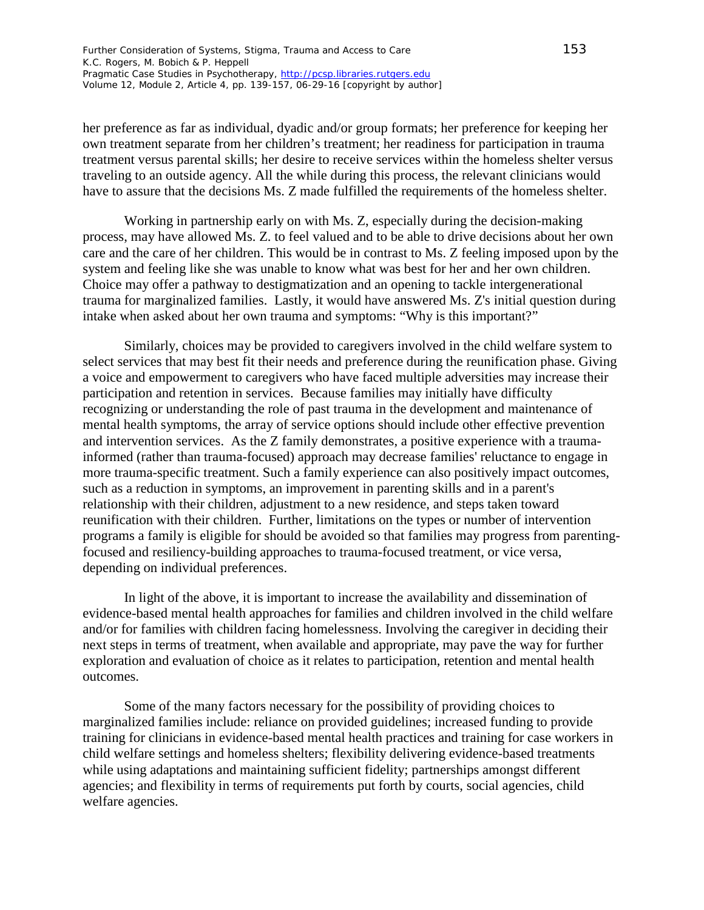her preference as far as individual, dyadic and/or group formats; her preference for keeping her own treatment separate from her children's treatment; her readiness for participation in trauma treatment versus parental skills; her desire to receive services within the homeless shelter versus traveling to an outside agency. All the while during this process, the relevant clinicians would have to assure that the decisions Ms. Z made fulfilled the requirements of the homeless shelter.

Working in partnership early on with Ms. Z, especially during the decision-making process, may have allowed Ms. Z. to feel valued and to be able to drive decisions about her own care and the care of her children. This would be in contrast to Ms. Z feeling imposed upon by the system and feeling like she was unable to know what was best for her and her own children. Choice may offer a pathway to destigmatization and an opening to tackle intergenerational trauma for marginalized families. Lastly, it would have answered Ms. Z's initial question during intake when asked about her own trauma and symptoms: "Why is this important?"

Similarly, choices may be provided to caregivers involved in the child welfare system to select services that may best fit their needs and preference during the reunification phase. Giving a voice and empowerment to caregivers who have faced multiple adversities may increase their participation and retention in services. Because families may initially have difficulty recognizing or understanding the role of past trauma in the development and maintenance of mental health symptoms, the array of service options should include other effective prevention and intervention services. As the Z family demonstrates, a positive experience with a traumainformed (rather than trauma-focused) approach may decrease families' reluctance to engage in more trauma-specific treatment. Such a family experience can also positively impact outcomes, such as a reduction in symptoms, an improvement in parenting skills and in a parent's relationship with their children, adjustment to a new residence, and steps taken toward reunification with their children. Further, limitations on the types or number of intervention programs a family is eligible for should be avoided so that families may progress from parentingfocused and resiliency-building approaches to trauma-focused treatment, or vice versa, depending on individual preferences.

In light of the above, it is important to increase the availability and dissemination of evidence-based mental health approaches for families and children involved in the child welfare and/or for families with children facing homelessness. Involving the caregiver in deciding their next steps in terms of treatment, when available and appropriate, may pave the way for further exploration and evaluation of choice as it relates to participation, retention and mental health outcomes.

Some of the many factors necessary for the possibility of providing choices to marginalized families include: reliance on provided guidelines; increased funding to provide training for clinicians in evidence-based mental health practices and training for case workers in child welfare settings and homeless shelters; flexibility delivering evidence-based treatments while using adaptations and maintaining sufficient fidelity; partnerships amongst different agencies; and flexibility in terms of requirements put forth by courts, social agencies, child welfare agencies.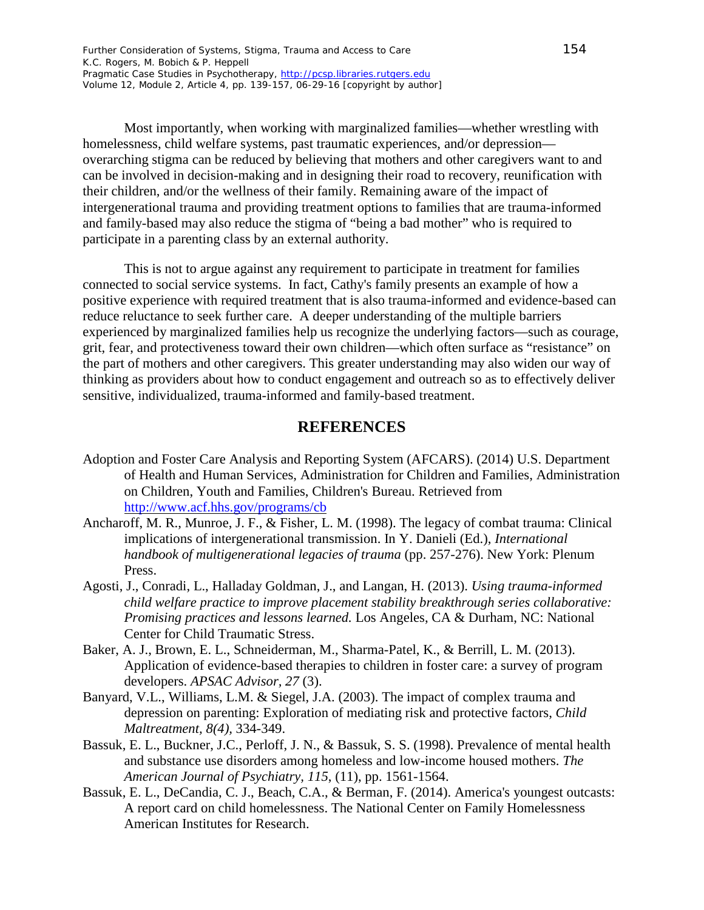Most importantly, when working with marginalized families—whether wrestling with homelessness, child welfare systems, past traumatic experiences, and/or depression overarching stigma can be reduced by believing that mothers and other caregivers want to and can be involved in decision-making and in designing their road to recovery, reunification with their children, and/or the wellness of their family. Remaining aware of the impact of intergenerational trauma and providing treatment options to families that are trauma-informed and family-based may also reduce the stigma of "being a bad mother" who is required to participate in a parenting class by an external authority.

This is not to argue against any requirement to participate in treatment for families connected to social service systems. In fact, Cathy's family presents an example of how a positive experience with required treatment that is also trauma-informed and evidence-based can reduce reluctance to seek further care. A deeper understanding of the multiple barriers experienced by marginalized families help us recognize the underlying factors—such as courage, grit, fear, and protectiveness toward their own children—which often surface as "resistance" on the part of mothers and other caregivers. This greater understanding may also widen our way of thinking as providers about how to conduct engagement and outreach so as to effectively deliver sensitive, individualized, trauma-informed and family-based treatment.

## **REFERENCES**

- Adoption and Foster Care Analysis and Reporting System (AFCARS). (2014) U.S. Department of Health and Human Services, Administration for Children and Families, Administration on Children, Youth and Families, Children's Bureau. Retrieved from http://www.acf.hhs.gov/programs/cb
- Ancharoff, M. R., Munroe, J. F., & Fisher, L. M. (1998). The legacy of combat trauma: Clinical implications of intergenerational transmission. In Y. Danieli (Ed.), *International handbook of multigenerational legacies of trauma* (pp. 257-276). New York: Plenum Press.
- Agosti, J., Conradi, L., Halladay Goldman, J., and Langan, H. (2013). *Using trauma-informed child welfare practice to improve placement stability breakthrough series collaborative: Promising practices and lessons learned.* Los Angeles, CA & Durham, NC: National Center for Child Traumatic Stress.
- Baker, A. J., Brown, E. L., Schneiderman, M., Sharma-Patel, K., & Berrill, L. M. (2013). Application of evidence-based therapies to children in foster care: a survey of program developers. *APSAC Advisor, 27* (3).
- Banyard, V.L., Williams, L.M. & Siegel, J.A. (2003). The impact of complex trauma and depression on parenting: Exploration of mediating risk and protective factors, *Child Maltreatment, 8(4),* 334-349.
- Bassuk, E. L., Buckner, J.C., Perloff, J. N., & Bassuk, S. S. (1998). Prevalence of mental health and substance use disorders among homeless and low-income housed mothers. *The American Journal of Psychiatry, 115*, (11), pp. 1561-1564.
- Bassuk, E. L., DeCandia, C. J., Beach, C.A., & Berman, F. (2014). America's youngest outcasts: A report card on child homelessness. The National Center on Family Homelessness American Institutes for Research.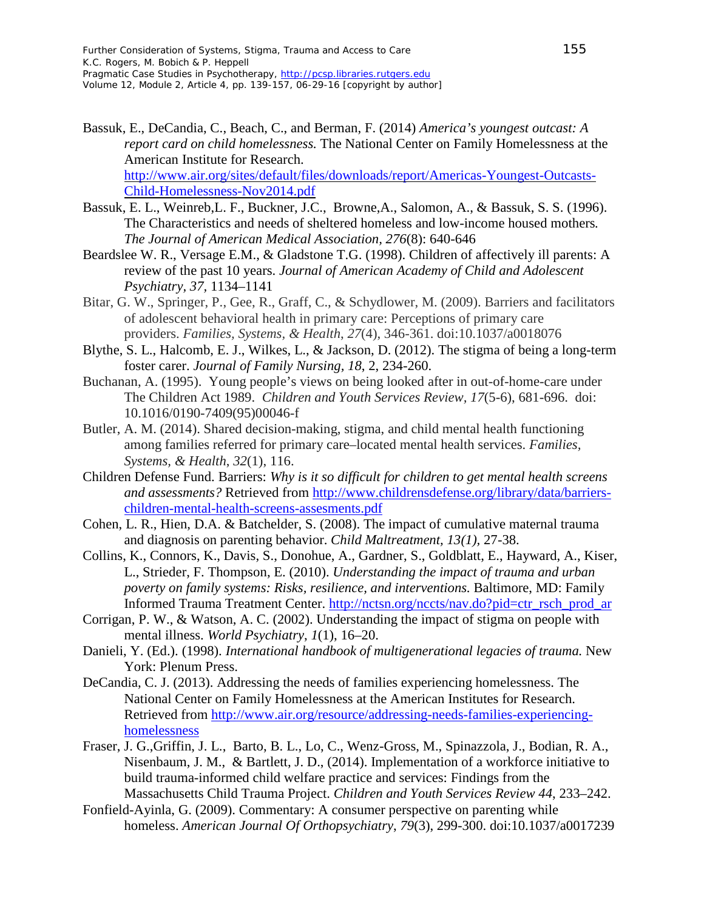- Bassuk, E., DeCandia, C., Beach, C., and Berman, F. (2014) *America's youngest outcast: A report card on child homelessness.* The National Center on Family Homelessness at the American Institute for Research. http://www.air.org/sites/default/files/downloads/report/Americas-Youngest-Outcasts-Child-Homelessness-Nov2014.pdf
- Bassuk, E. L., Weinreb,L. F., Buckner, J.C., Browne,A., Salomon, A., & Bassuk, S. S. (1996). The Characteristics and needs of sheltered homeless and low-income housed mothers*. The Journal of American Medical Association, 276*(8): 640-646
- Beardslee W. R., Versage E.M., & Gladstone T.G. (1998). Children of affectively ill parents: A review of the past 10 years. *Journal of American Academy of Child and Adolescent Psychiatry, 37,* 1134–1141
- Bitar, G. W., Springer, P., Gee, R., Graff, C., & Schydlower, M. (2009). Barriers and facilitators of adolescent behavioral health in primary care: Perceptions of primary care providers. *Families, Systems, & Health*, *27*(4), 346-361. doi:10.1037/a0018076
- Blythe, S. L., Halcomb, E. J., Wilkes, L., & Jackson, D. (2012). The stigma of being a long-term foster carer. *Journal of Family Nursing, 18*, 2, 234-260.
- Buchanan, A. (1995). Young people's views on being looked after in out-of-home-care under The Children Act 1989. *Children and Youth Services Review, 17*(5-6), 681-696. doi: 10.1016/0190-7409(95)00046-f
- Butler, A. M. (2014). Shared decision-making, stigma, and child mental health functioning among families referred for primary care–located mental health services. *Families, Systems, & Health*, *32*(1), 116.
- Children Defense Fund. Barriers: *Why is it so difficult for children to get mental health screens and assessments?* Retrieved from [http://www.childrensdefense.org/library/data/barriers](http://www.childrensdefense.org/library/data/barriers-children-mental-health-screens-assesments.pdf)[children-mental-health-screens-assesments.pdf](http://www.childrensdefense.org/library/data/barriers-children-mental-health-screens-assesments.pdf)
- Cohen, L. R., Hien, D.A. & Batchelder, S. (2008). The impact of cumulative maternal trauma and diagnosis on parenting behavior. *Child Maltreatment, 13(1),* 27-38.
- Collins, K., Connors, K., Davis, S., Donohue, A., Gardner, S., Goldblatt, E., Hayward, A., Kiser, L., Strieder, F. Thompson, E. (2010). *Understanding the impact of trauma and urban poverty on family systems: Risks, resilience, and interventions.* Baltimore, MD: Family Informed Trauma Treatment Center. [http://nctsn.org/nccts/nav.do?pid=ctr\\_rsch\\_prod\\_ar](http://nctsn.org/nccts/nav.do?pid=ctr_rsch_prod_ar)
- Corrigan, P. W., & Watson, A. C. (2002). Understanding the impact of stigma on people with mental illness. *World Psychiatry*, *1*(1), 16–20.
- Danieli, Y. (Ed.). (1998). *International handbook of multigenerational legacies of trauma.* New York: Plenum Press.
- DeCandia, C. J. (2013). Addressing the needs of families experiencing homelessness. The National Center on Family Homelessness at the American Institutes for Research. Retrieved from [http://www.air.org/resource/addressing-needs-families-experiencing](http://www.air.org/resource/addressing-needs-families-experiencing-homelessness)[homelessness](http://www.air.org/resource/addressing-needs-families-experiencing-homelessness)
- Fraser, J. G.,Griffin, J. L., Barto, B. L., Lo, C., Wenz-Gross, M., Spinazzola, J., Bodian, R. A., Nisenbaum, J. M., & Bartlett, J. D., (2014). Implementation of a workforce initiative to build trauma-informed child welfare practice and services: Findings from the Massachusetts Child Trauma Project. *Children and Youth Services Review 44*, 233–242.
- Fonfield-Ayinla, G. (2009). Commentary: A consumer perspective on parenting while homeless. *American Journal Of Orthopsychiatry*, *79*(3), 299-300. doi:10.1037/a0017239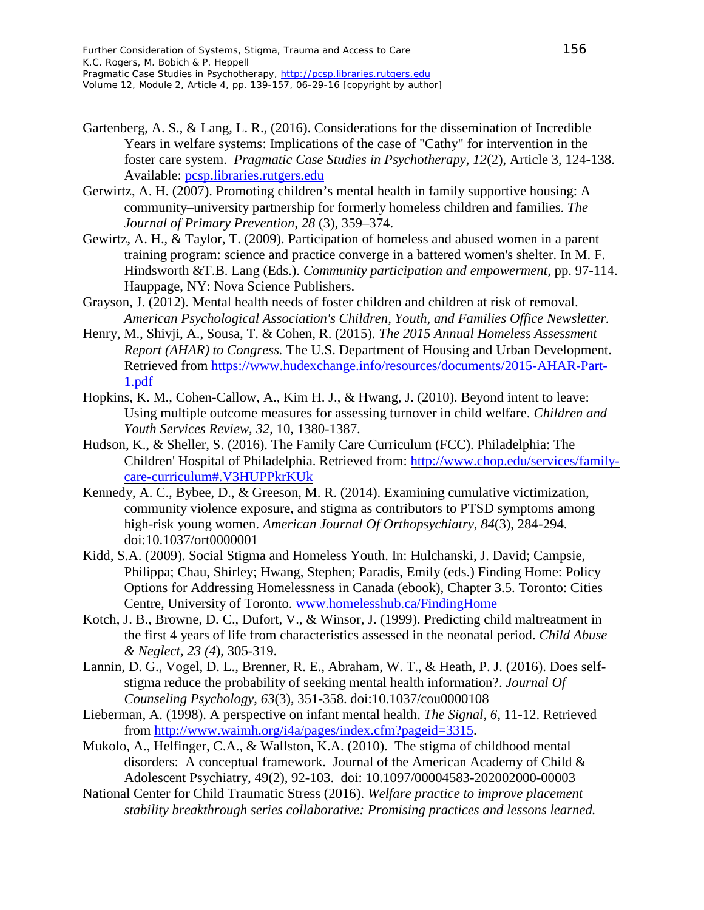- Gartenberg, A. S., & Lang, L. R., (2016). Considerations for the dissemination of Incredible Years in welfare systems: Implications of the case of "Cathy" for intervention in the foster care system. *Pragmatic Case Studies in Psychotherapy, 12*(2), Article 3, 124-138. Available: pcsp.libraries.rutgers.edu
- Gerwirtz, A. H. (2007). Promoting children's mental health in family supportive housing: A community–university partnership for formerly homeless children and families. *The Journal of Primary Prevention, 28* (3)*,* 359–374.
- Gewirtz, A. H., & Taylor, T. (2009). Participation of homeless and abused women in a parent training program: science and practice converge in a battered women's shelter. In M. F. Hindsworth &T.B. Lang (Eds.). *Community participation and empowerment,* pp. 97-114. Hauppage, NY: Nova Science Publishers.
- Grayson, J. (2012). Mental health needs of foster children and children at risk of removal. *American Psychological Association's Children, Youth, and Families Office Newsletter.*
- Henry, M., Shivji, A., Sousa, T. & Cohen, R. (2015). *The 2015 Annual Homeless Assessment Report (AHAR) to Congress.* The U.S. Department of Housing and Urban Development. Retrieved from [https://www.hudexchange.info/resources/documents/2015-AHAR-Part-](https://www.hudexchange.info/resources/documents/2015-AHAR-Part-1.pdf)[1.pdf](https://www.hudexchange.info/resources/documents/2015-AHAR-Part-1.pdf)
- Hopkins, K. M., Cohen-Callow, A., Kim H. J., & Hwang, J. (2010). Beyond intent to leave: Using multiple outcome measures for assessing turnover in child welfare. *Children and Youth Services Review*, *32*, 10, 1380-1387.
- Hudson, K., & Sheller, S. (2016). The Family Care Curriculum (FCC). Philadelphia: The Children' Hospital of Philadelphia. Retrieved from: http://www.chop.edu/services/familycare-curriculum#.V3HUPPkrKUk
- Kennedy, A. C., Bybee, D., & Greeson, M. R. (2014). Examining cumulative victimization, community violence exposure, and stigma as contributors to PTSD symptoms among high-risk young women. *American Journal Of Orthopsychiatry*, *84*(3), 284-294. doi:10.1037/ort0000001
- Kidd, S.A. (2009). Social Stigma and Homeless Youth. In: Hulchanski, J. David; Campsie, Philippa; Chau, Shirley; Hwang, Stephen; Paradis, Emily (eds.) Finding Home: Policy Options for Addressing Homelessness in Canada (ebook), Chapter 3.5. Toronto: Cities Centre, University of Toronto. www.homelesshub.ca/FindingHome
- Kotch, J. B., Browne, D. C., Dufort, V., & Winsor, J. (1999). Predicting child maltreatment in the first 4 years of life from characteristics assessed in the neonatal period. *Child Abuse & Neglect, 23 (4*), 305-319.
- Lannin, D. G., Vogel, D. L., Brenner, R. E., Abraham, W. T., & Heath, P. J. (2016). Does selfstigma reduce the probability of seeking mental health information?. *Journal Of Counseling Psychology*, *63*(3), 351-358. doi:10.1037/cou0000108
- Lieberman, A. (1998). A perspective on infant mental health. *The Signal, 6*, 11-12. Retrieved from [http://www.waimh.org/i4a/pages/index.cfm?pageid=3315.](http://www.waimh.org/i4a/pages/index.cfm?pageid=3315)
- Mukolo, A., Helfinger, C.A., & Wallston, K.A. (2010). The stigma of childhood mental disorders: A conceptual framework. Journal of the American Academy of Child & Adolescent Psychiatry, 49(2), 92-103. doi: 10.1097/00004583-202002000-00003
- National Center for Child Traumatic Stress (2016). *Welfare practice to improve placement stability breakthrough series collaborative: Promising practices and lessons learned.*